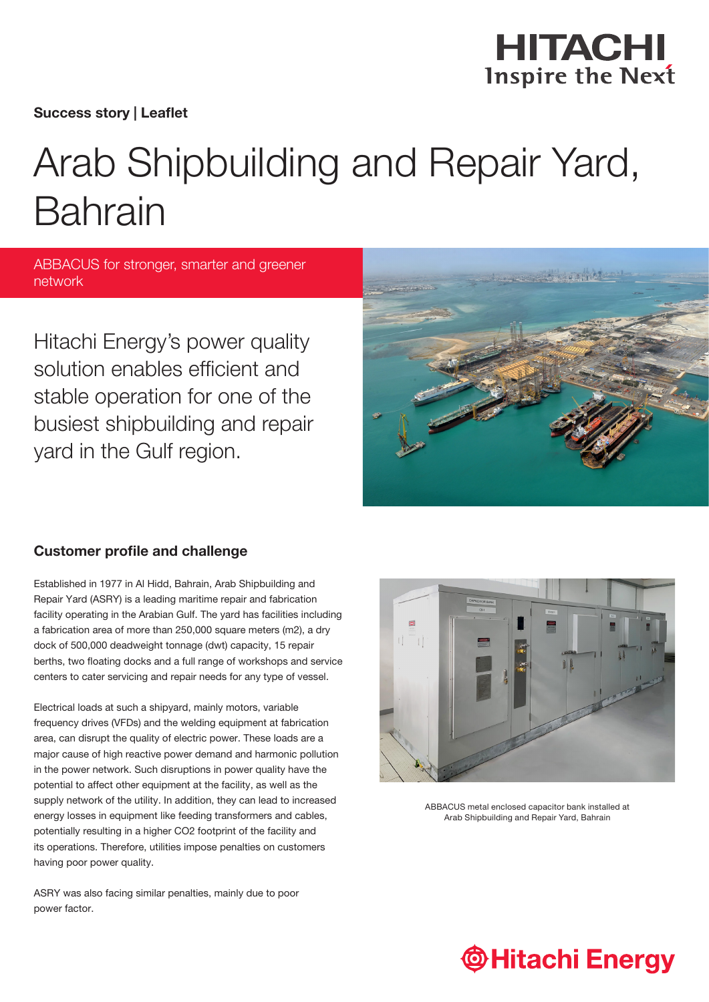

Success story | Leaflet

# Arab Shipbuilding and Repair Yard, Bahrain

ABBACUS for stronger, smarter and greener network

Hitachi Energy's power quality solution enables efficient and stable operation for one of the busiest shipbuilding and repair yard in the Gulf region.



### Customer profile and challenge

Established in 1977 in Al Hidd, Bahrain, Arab Shipbuilding and Repair Yard (ASRY) is a leading maritime repair and fabrication facility operating in the Arabian Gulf. The yard has facilities including a fabrication area of more than 250,000 square meters (m2), a dry dock of 500,000 deadweight tonnage (dwt) capacity, 15 repair berths, two floating docks and a full range of workshops and service centers to cater servicing and repair needs for any type of vessel.

Electrical loads at such a shipyard, mainly motors, variable frequency drives (VFDs) and the welding equipment at fabrication area, can disrupt the quality of electric power. These loads are a major cause of high reactive power demand and harmonic pollution in the power network. Such disruptions in power quality have the potential to affect other equipment at the facility, as well as the supply network of the utility. In addition, they can lead to increased energy losses in equipment like feeding transformers and cables, potentially resulting in a higher CO2 footprint of the facility and its operations. Therefore, utilities impose penalties on customers having poor power quality.

ASRY was also facing similar penalties, mainly due to poor power factor.



ABBACUS metal enclosed capacitor bank installed at Arab Shipbuilding and Repair Yard, Bahrain

# **Thitachi Energy**